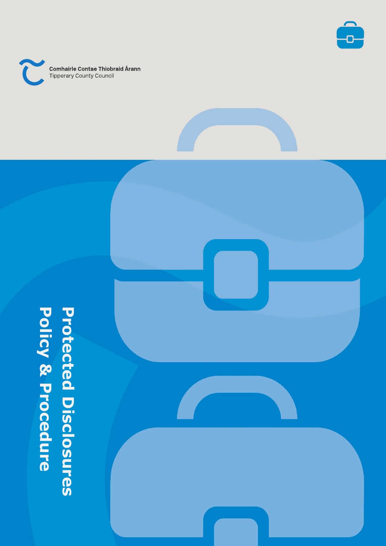

**Comhairle Contae Thiobraid Árann** Tipperary County Council



# **Protected Disclosures Protected Disclosures licy & Procedure**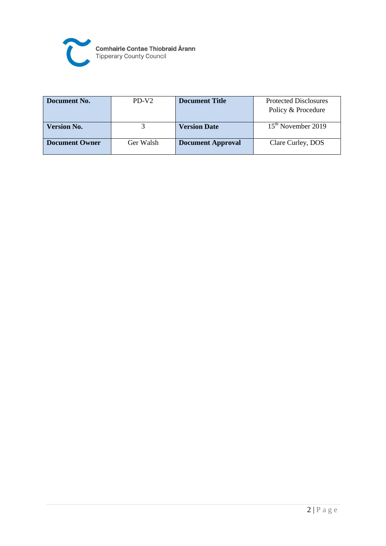

| Document No.          | $PD-V2$   | <b>Document Title</b>    | <b>Protected Disclosures</b>   |  |
|-----------------------|-----------|--------------------------|--------------------------------|--|
|                       |           |                          | Policy & Procedure             |  |
| Version No.           |           | <b>Version Date</b>      | 15 <sup>th</sup> November 2019 |  |
| <b>Document Owner</b> | Ger Walsh | <b>Document Approval</b> | Clare Curley, DOS              |  |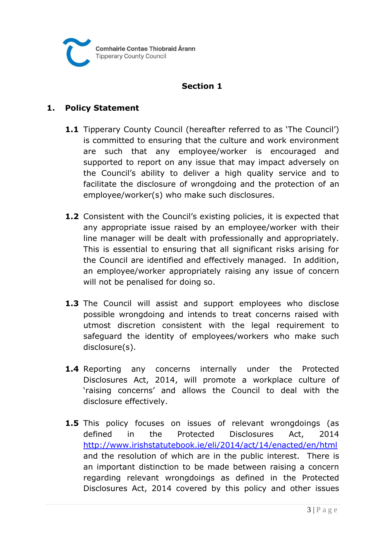

## **Section 1**

## **1. Policy Statement**

- **1.1** Tipperary County Council (hereafter referred to as 'The Council') is committed to ensuring that the culture and work environment are such that any employee/worker is encouraged and supported to report on any issue that may impact adversely on the Council's ability to deliver a high quality service and to facilitate the disclosure of wrongdoing and the protection of an employee/worker(s) who make such disclosures.
- **1.2** Consistent with the Council's existing policies, it is expected that any appropriate issue raised by an employee/worker with their line manager will be dealt with professionally and appropriately. This is essential to ensuring that all significant risks arising for the Council are identified and effectively managed. In addition, an employee/worker appropriately raising any issue of concern will not be penalised for doing so.
- **1.3** The Council will assist and support employees who disclose possible wrongdoing and intends to treat concerns raised with utmost discretion consistent with the legal requirement to safeguard the identity of employees/workers who make such disclosure(s).
- **1.4** Reporting any concerns internally under the Protected Disclosures Act, 2014, will promote a workplace culture of 'raising concerns' and allows the Council to deal with the disclosure effectively.
- **1.5** This policy focuses on issues of relevant wrongdoings (as defined in the Protected Disclosures Act, 2014 <http://www.irishstatutebook.ie/eli/2014/act/14/enacted/en/html> and the resolution of which are in the public interest.There is an important distinction to be made between raising a concern regarding relevant wrongdoings as defined in the Protected Disclosures Act, 2014 covered by this policy and other issues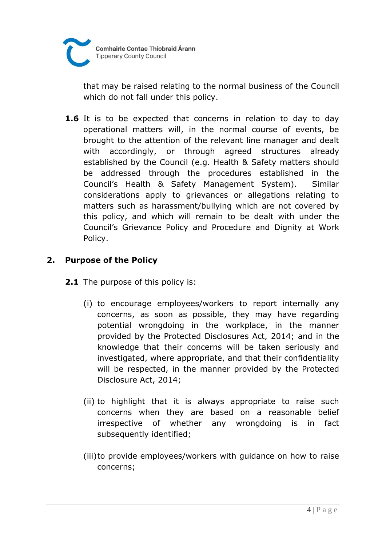

that may be raised relating to the normal business of the Council which do not fall under this policy.

**1.6** It is to be expected that concerns in relation to day to day operational matters will, in the normal course of events, be brought to the attention of the relevant line manager and dealt with accordingly, or through agreed structures already established by the Council (e.g. Health & Safety matters should be addressed through the procedures established in the Council's Health & Safety Management System). Similar considerations apply to grievances or allegations relating to matters such as harassment/bullying which are not covered by this policy, and which will remain to be dealt with under the Council's Grievance Policy and Procedure and Dignity at Work Policy.

# **2. Purpose of the Policy**

- **2.1** The purpose of this policy is:
	- (i) to encourage employees/workers to report internally any concerns, as soon as possible, they may have regarding potential wrongdoing in the workplace, in the manner provided by the Protected Disclosures Act, 2014; and in the knowledge that their concerns will be taken seriously and investigated, where appropriate, and that their confidentiality will be respected, in the manner provided by the Protected Disclosure Act, 2014;
	- (ii) to highlight that it is always appropriate to raise such concerns when they are based on a reasonable belief irrespective of whether any wrongdoing is in fact subsequently identified;
	- (iii)to provide employees/workers with guidance on how to raise concerns;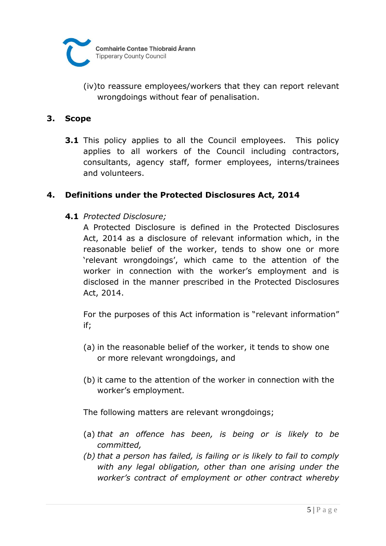

(iv)to reassure employees/workers that they can report relevant wrongdoings without fear of penalisation.

#### **3. Scope**

**3.1** This policy applies to all the Council employees. This policy applies to all workers of the Council including contractors, consultants, agency staff, former employees, interns/trainees and volunteers.

#### **4. Definitions under the Protected Disclosures Act, 2014**

**4.1** *Protected Disclosure;*

A Protected Disclosure is defined in the Protected Disclosures Act, 2014 as a disclosure of relevant information which, in the reasonable belief of the worker, tends to show one or more 'relevant wrongdoings', which came to the attention of the worker in connection with the worker's employment and is disclosed in the manner prescribed in the Protected Disclosures Act, 2014.

For the purposes of this Act information is "relevant information" if;

- (a) in the reasonable belief of the worker, it tends to show one or more relevant wrongdoings, and
- (b) it came to the attention of the worker in connection with the worker's employment.

The following matters are relevant wrongdoings;

- (a) *that an offence has been, is being or is likely to be committed,*
- *(b) that a person has failed, is failing or is likely to fail to comply with any legal obligation, other than one arising under the worker's contract of employment or other contract whereby*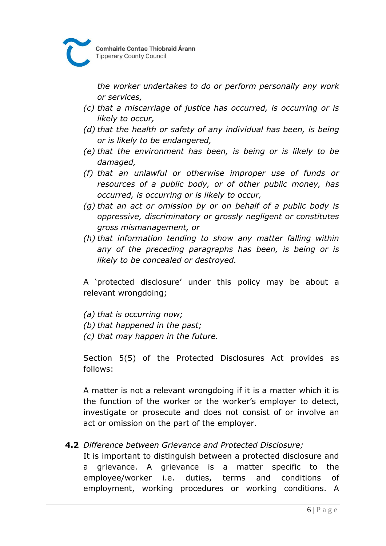

*the worker undertakes to do or perform personally any work or services,*

- *(c) that a miscarriage of justice has occurred, is occurring or is likely to occur,*
- *(d) that the health or safety of any individual has been, is being or is likely to be endangered,*
- *(e) that the environment has been, is being or is likely to be damaged,*
- *(f) that an unlawful or otherwise improper use of funds or resources of a public body, or of other public money, has occurred, is occurring or is likely to occur,*
- *(g) that an act or omission by or on behalf of a public body is oppressive, discriminatory or grossly negligent or constitutes gross mismanagement, or*
- *(h) that information tending to show any matter falling within any of the preceding paragraphs has been, is being or is likely to be concealed or destroyed.*

A 'protected disclosure' under this policy may be about a relevant wrongdoing;

*(a) that is occurring now; (b) that happened in the past; (c) that may happen in the future.*

Section 5(5) of the Protected Disclosures Act provides as follows:

A matter is not a relevant wrongdoing if it is a matter which it is the function of the worker or the worker's employer to detect, investigate or prosecute and does not consist of or involve an act or omission on the part of the employer.

#### **4.2** *Difference between Grievance and Protected Disclosure;*

It is important to distinguish between a protected disclosure and a grievance. A grievance is a matter specific to the employee/worker i.e. duties, terms and conditions of employment, working procedures or working conditions. A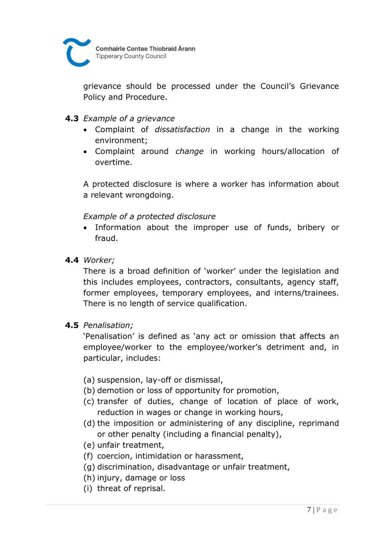

grievance should be processed under the Council's Grievance Policy and Procedure.

- **4.3** *Example of a grievance*
	- Complaint of *dissatisfaction* in a change in the working environment;
	- Complaint around *change* in working hours/allocation of overtime.

A protected disclosure is where a worker has information about a relevant wrongdoing.

# *Example of a protected disclosure*

- Information about the improper use of funds, bribery or fraud.
- **4.4** *Worker;*

There is a broad definition of 'worker' under the legislation and this includes employees, contractors, consultants, agency staff, former employees, temporary employees, and interns/trainees. There is no length of service qualification.

#### **4.5** *Penalisation;*

'Penalisation' is defined as 'any act or omission that affects an employee/worker to the employee/worker's detriment and, in particular, includes:

- (a) suspension, lay-off or dismissal,
- (b) demotion or loss of opportunity for promotion,
- (c) transfer of duties, change of location of place of work, reduction in wages or change in working hours,
- (d) the imposition or administering of any discipline, reprimand or other penalty (including a financial penalty),
- (e) unfair treatment,
- (f) coercion, intimidation or harassment,
- (g) discrimination, disadvantage or unfair treatment,
- (h) injury, damage or loss
- (i) threat of reprisal.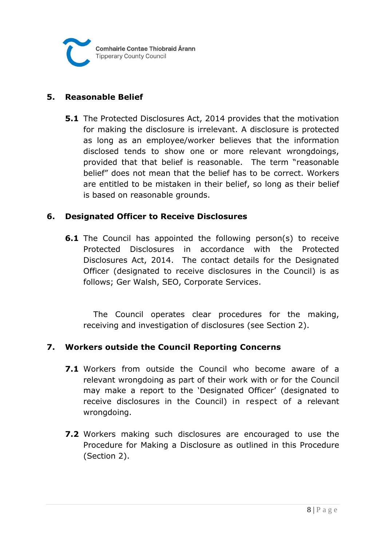

## **5. Reasonable Belief**

**5.1** The Protected Disclosures Act, 2014 provides that the motivation for making the disclosure is irrelevant. A disclosure is protected as long as an employee/worker believes that the information disclosed tends to show one or more relevant wrongdoings, provided that that belief is reasonable. The term "reasonable belief" does not mean that the belief has to be correct. Workers are entitled to be mistaken in their belief, so long as their belief is based on reasonable grounds.

#### **6. Designated Officer to Receive Disclosures**

**6.1** The Council has appointed the following person(s) to receive Protected Disclosures in accordance with the Protected Disclosures Act, 2014. The contact details for the Designated Officer (designated to receive disclosures in the Council) is as follows; Ger Walsh, SEO, Corporate Services.

The Council operates clear procedures for the making, receiving and investigation of disclosures (see Section 2).

#### **7. Workers outside the Council Reporting Concerns**

- **7.1** Workers from outside the Council who become aware of a relevant wrongdoing as part of their work with or for the Council may make a report to the 'Designated Officer' (designated to receive disclosures in the Council) in respect of a relevant wrongdoing.
- **7.2** Workers making such disclosures are encouraged to use the Procedure for Making a Disclosure as outlined in this Procedure (Section 2).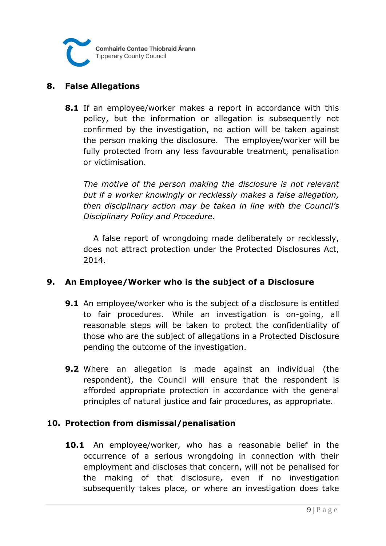

#### **8. False Allegations**

**8.1** If an employee/worker makes a report in accordance with this policy, but the information or allegation is subsequently not confirmed by the investigation, no action will be taken against the person making the disclosure. The employee/worker will be fully protected from any less favourable treatment, penalisation or victimisation.

*The motive of the person making the disclosure is not relevant but if a worker knowingly or recklessly makes a false allegation, then disciplinary action may be taken in line with the Council's Disciplinary Policy and Procedure.*

A false report of wrongdoing made deliberately or recklessly, does not attract protection under the Protected Disclosures Act, 2014.

#### **9. An Employee/Worker who is the subject of a Disclosure**

- **9.1** An employee/worker who is the subject of a disclosure is entitled to fair procedures. While an investigation is on-going, all reasonable steps will be taken to protect the confidentiality of those who are the subject of allegations in a Protected Disclosure pending the outcome of the investigation.
- **9.2** Where an allegation is made against an individual (the respondent), the Council will ensure that the respondent is afforded appropriate protection in accordance with the general principles of natural justice and fair procedures, as appropriate.

#### **10. Protection from dismissal/penalisation**

**10.1** An employee/worker, who has a reasonable belief in the occurrence of a serious wrongdoing in connection with their employment and discloses that concern, will not be penalised for the making of that disclosure, even if no investigation subsequently takes place, or where an investigation does take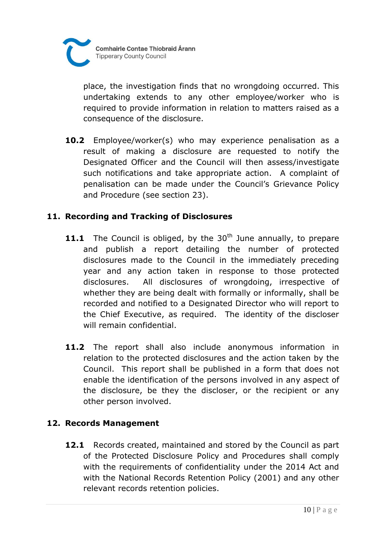

place, the investigation finds that no wrongdoing occurred. This undertaking extends to any other employee/worker who is required to provide information in relation to matters raised as a consequence of the disclosure.

**10.2** Employee/worker(s) who may experience penalisation as a result of making a disclosure are requested to notify the Designated Officer and the Council will then assess/investigate such notifications and take appropriate action. A complaint of penalisation can be made under the Council's Grievance Policy and Procedure (see section 23).

# **11. Recording and Tracking of Disclosures**

- **11.1** The Council is obliged, by the 30<sup>th</sup> June annually, to prepare and publish a report detailing the number of protected disclosures made to the Council in the immediately preceding year and any action taken in response to those protected disclosures. All disclosures of wrongdoing, irrespective of whether they are being dealt with formally or informally, shall be recorded and notified to a Designated Director who will report to the Chief Executive, as required. The identity of the discloser will remain confidential.
- 11.2 The report shall also include anonymous information in relation to the protected disclosures and the action taken by the Council. This report shall be published in a form that does not enable the identification of the persons involved in any aspect of the disclosure, be they the discloser, or the recipient or any other person involved.

#### **12. Records Management**

**12.1** Records created, maintained and stored by the Council as part of the Protected Disclosure Policy and Procedures shall comply with the requirements of confidentiality under the 2014 Act and with the National Records Retention Policy (2001) and any other relevant records retention policies.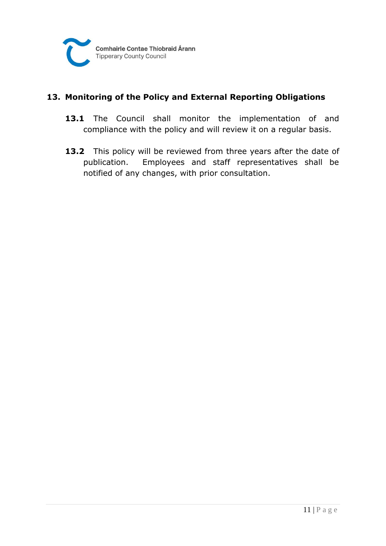

# **13. Monitoring of the Policy and External Reporting Obligations**

- 13.1 The Council shall monitor the implementation of and compliance with the policy and will review it on a regular basis.
- 13.2 This policy will be reviewed from three years after the date of publication. Employees and staff representatives shall be notified of any changes, with prior consultation.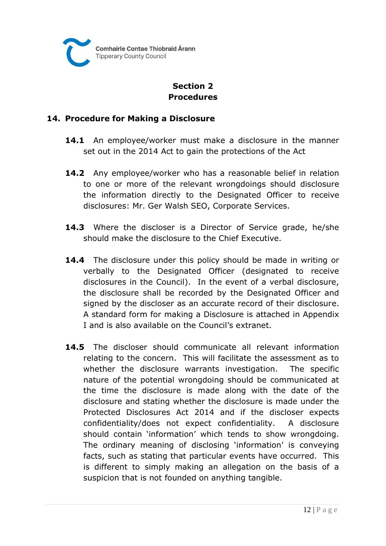

# **Section 2 Procedures**

#### **14. Procedure for Making a Disclosure**

- **14.1** An employee/worker must make a disclosure in the manner set out in the 2014 Act to gain the protections of the Act
- **14.2** Any employee/worker who has a reasonable belief in relation to one or more of the relevant wrongdoings should disclosure the information directly to the Designated Officer to receive disclosures: Mr. Ger Walsh SEO, Corporate Services.
- **14.3** Where the discloser is a Director of Service grade, he/she should make the disclosure to the Chief Executive.
- **14.4** The disclosure under this policy should be made in writing or verbally to the Designated Officer (designated to receive disclosures in the Council). In the event of a verbal disclosure, the disclosure shall be recorded by the Designated Officer and signed by the discloser as an accurate record of their disclosure. A standard form for making a Disclosure is attached in Appendix I and is also available on the Council's extranet.
- **14.5** The discloser should communicate all relevant information relating to the concern. This will facilitate the assessment as to whether the disclosure warrants investigation. The specific nature of the potential wrongdoing should be communicated at the time the disclosure is made along with the date of the disclosure and stating whether the disclosure is made under the Protected Disclosures Act 2014 and if the discloser expects confidentiality/does not expect confidentiality. A disclosure should contain 'information' which tends to show wrongdoing. The ordinary meaning of disclosing 'information' is conveying facts, such as stating that particular events have occurred. This is different to simply making an allegation on the basis of a suspicion that is not founded on anything tangible.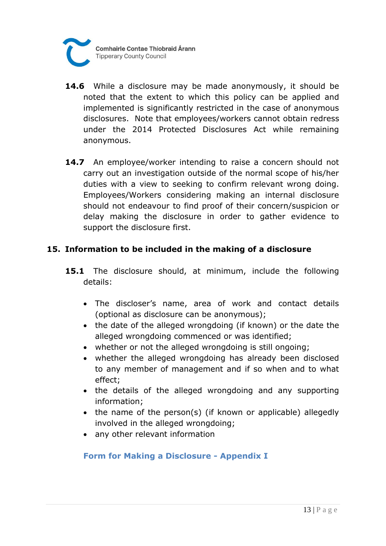

- **14.6** While a disclosure may be made anonymously, it should be noted that the extent to which this policy can be applied and implemented is significantly restricted in the case of anonymous disclosures. Note that employees/workers cannot obtain redress under the 2014 Protected Disclosures Act while remaining anonymous.
- 14.7 An employee/worker intending to raise a concern should not carry out an investigation outside of the normal scope of his/her duties with a view to seeking to confirm relevant wrong doing. Employees/Workers considering making an internal disclosure should not endeavour to find proof of their concern/suspicion or delay making the disclosure in order to gather evidence to support the disclosure first.

# **15. Information to be included in the making of a disclosure**

- **15.1** The disclosure should, at minimum, include the following details:
	- The discloser's name, area of work and contact details (optional as disclosure can be anonymous);
	- the date of the alleged wrongdoing (if known) or the date the alleged wrongdoing commenced or was identified;
	- whether or not the alleged wrongdoing is still ongoing;
	- whether the alleged wrongdoing has already been disclosed to any member of management and if so when and to what effect;
	- the details of the alleged wrongdoing and any supporting information;
	- the name of the person(s) (if known or applicable) allegedly involved in the alleged wrongdoing;
	- any other relevant information

#### **Form for Making a Disclosure - Appendix I**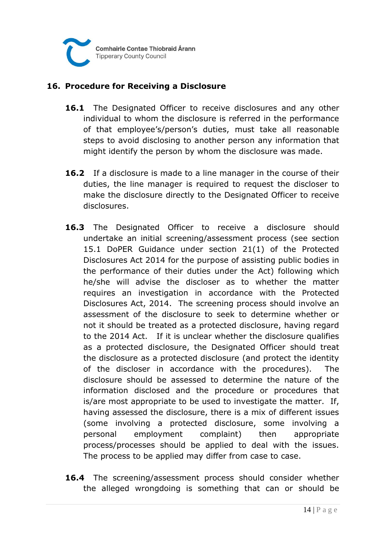

#### **16. Procedure for Receiving a Disclosure**

- 16.1 The Designated Officer to receive disclosures and any other individual to whom the disclosure is referred in the performance of that employee's/person's duties, must take all reasonable steps to avoid disclosing to another person any information that might identify the person by whom the disclosure was made.
- **16.2** If a disclosure is made to a line manager in the course of their duties, the line manager is required to request the discloser to make the disclosure directly to the Designated Officer to receive disclosures.
- **16.3** The Designated Officer to receive a disclosure should undertake an initial screening/assessment process (see section 15.1 DoPER Guidance under section 21(1) of the Protected Disclosures Act 2014 for the purpose of assisting public bodies in the performance of their duties under the Act) following which he/she will advise the discloser as to whether the matter requires an investigation in accordance with the Protected Disclosures Act, 2014. The screening process should involve an assessment of the disclosure to seek to determine whether or not it should be treated as a protected disclosure, having regard to the 2014 Act. If it is unclear whether the disclosure qualifies as a protected disclosure, the Designated Officer should treat the disclosure as a protected disclosure (and protect the identity of the discloser in accordance with the procedures). The disclosure should be assessed to determine the nature of the information disclosed and the procedure or procedures that is/are most appropriate to be used to investigate the matter. If, having assessed the disclosure, there is a mix of different issues (some involving a protected disclosure, some involving a personal employment complaint) then appropriate process/processes should be applied to deal with the issues. The process to be applied may differ from case to case.
- 16.4 The screening/assessment process should consider whether the alleged wrongdoing is something that can or should be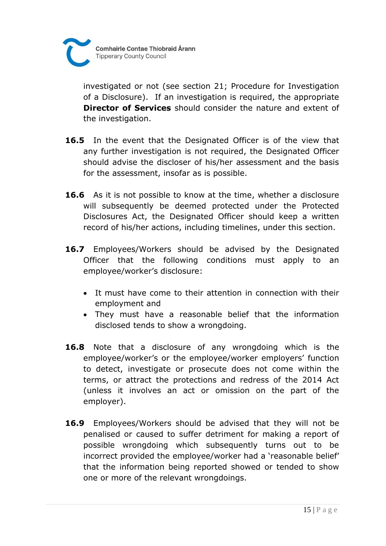

investigated or not (see section 21; Procedure for Investigation of a Disclosure). If an investigation is required, the appropriate **Director of Services** should consider the nature and extent of the investigation.

- **16.5** In the event that the Designated Officer is of the view that any further investigation is not required, the Designated Officer should advise the discloser of his/her assessment and the basis for the assessment, insofar as is possible.
- **16.6** As it is not possible to know at the time, whether a disclosure will subsequently be deemed protected under the Protected Disclosures Act, the Designated Officer should keep a written record of his/her actions, including timelines, under this section.
- **16.7** Employees/Workers should be advised by the Designated Officer that the following conditions must apply to an employee/worker's disclosure:
	- It must have come to their attention in connection with their employment and
	- They must have a reasonable belief that the information disclosed tends to show a wrongdoing.
- **16.8** Note that a disclosure of any wrongdoing which is the employee/worker's or the employee/worker employers' function to detect, investigate or prosecute does not come within the terms, or attract the protections and redress of the 2014 Act (unless it involves an act or omission on the part of the employer).
- **16.9** Employees/Workers should be advised that they will not be penalised or caused to suffer detriment for making a report of possible wrongdoing which subsequently turns out to be incorrect provided the employee/worker had a 'reasonable belief' that the information being reported showed or tended to show one or more of the relevant wrongdoings.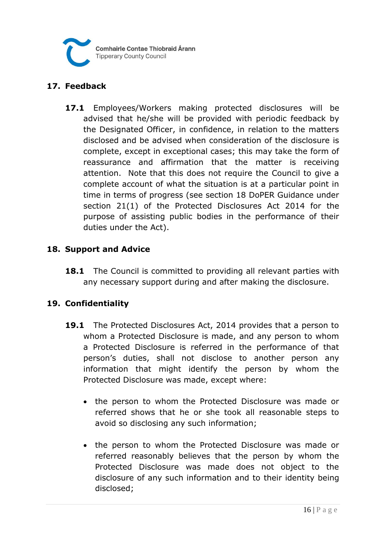

## **17. Feedback**

**17.1** Employees/Workers making protected disclosures will be advised that he/she will be provided with periodic feedback by the Designated Officer, in confidence, in relation to the matters disclosed and be advised when consideration of the disclosure is complete, except in exceptional cases; this may take the form of reassurance and affirmation that the matter is receiving attention. Note that this does not require the Council to give a complete account of what the situation is at a particular point in time in terms of progress (see section 18 DoPER Guidance under section 21(1) of the Protected Disclosures Act 2014 for the purpose of assisting public bodies in the performance of their duties under the Act).

#### **18. Support and Advice**

**18.1** The Council is committed to providing all relevant parties with any necessary support during and after making the disclosure.

#### **19. Confidentiality**

- **19.1** The Protected Disclosures Act, 2014 provides that a person to whom a Protected Disclosure is made, and any person to whom a Protected Disclosure is referred in the performance of that person's duties, shall not disclose to another person any information that might identify the person by whom the Protected Disclosure was made, except where:
	- the person to whom the Protected Disclosure was made or referred shows that he or she took all reasonable steps to avoid so disclosing any such information;
	- the person to whom the Protected Disclosure was made or referred reasonably believes that the person by whom the Protected Disclosure was made does not object to the disclosure of any such information and to their identity being disclosed;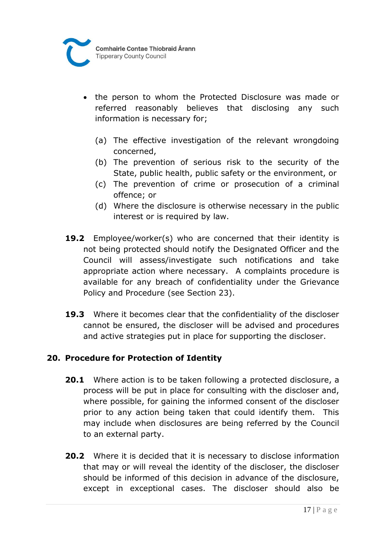

- the person to whom the Protected Disclosure was made or referred reasonably believes that disclosing any such information is necessary for;
	- (a) The effective investigation of the relevant wrongdoing concerned,
	- (b) The prevention of serious risk to the security of the State, public health, public safety or the environment, or
	- (c) The prevention of crime or prosecution of a criminal offence; or
	- (d) Where the disclosure is otherwise necessary in the public interest or is required by law.
- **19.2** Employee/worker(s) who are concerned that their identity is not being protected should notify the Designated Officer and the Council will assess/investigate such notifications and take appropriate action where necessary. A complaints procedure is available for any breach of confidentiality under the Grievance Policy and Procedure (see Section 23).
- **19.3** Where it becomes clear that the confidentiality of the discloser cannot be ensured, the discloser will be advised and procedures and active strategies put in place for supporting the discloser.

#### **20. Procedure for Protection of Identity**

- **20.1** Where action is to be taken following a protected disclosure, a process will be put in place for consulting with the discloser and, where possible, for gaining the informed consent of the discloser prior to any action being taken that could identify them. This may include when disclosures are being referred by the Council to an external party.
- **20.2** Where it is decided that it is necessary to disclose information that may or will reveal the identity of the discloser, the discloser should be informed of this decision in advance of the disclosure, except in exceptional cases. The discloser should also be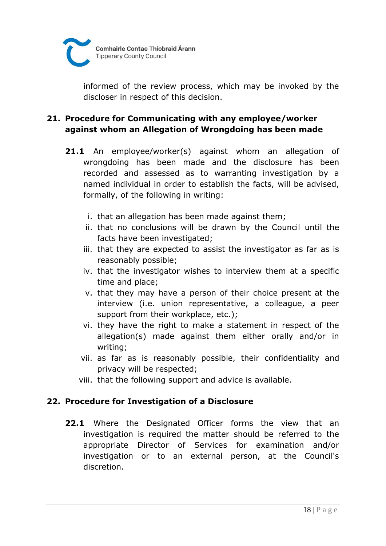

informed of the review process, which may be invoked by the discloser in respect of this decision.

# **21. Procedure for Communicating with any employee/worker against whom an Allegation of Wrongdoing has been made**

- **21.1** An employee/worker(s) against whom an allegation of wrongdoing has been made and the disclosure has been recorded and assessed as to warranting investigation by a named individual in order to establish the facts, will be advised, formally, of the following in writing:
	- i. that an allegation has been made against them;
	- ii. that no conclusions will be drawn by the Council until the facts have been investigated;
	- iii. that they are expected to assist the investigator as far as is reasonably possible;
	- iv. that the investigator wishes to interview them at a specific time and place;
	- v. that they may have a person of their choice present at the interview (i.e. union representative, a colleague, a peer support from their workplace, etc.);
	- vi. they have the right to make a statement in respect of the allegation(s) made against them either orally and/or in writing;
	- vii. as far as is reasonably possible, their confidentiality and privacy will be respected;
	- viii. that the following support and advice is available.

#### **22. Procedure for Investigation of a Disclosure**

**22.1** Where the Designated Officer forms the view that an investigation is required the matter should be referred to the appropriate Director of Services for examination and/or investigation or to an external person, at the Council's discretion.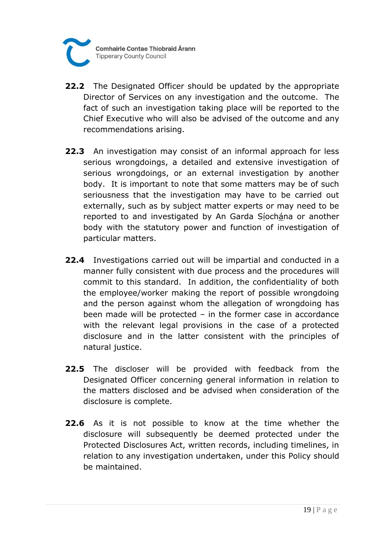

- **22.2** The Designated Officer should be updated by the appropriate Director of Services on any investigation and the outcome. The fact of such an investigation taking place will be reported to the Chief Executive who will also be advised of the outcome and any recommendations arising.
- **22.3** An investigation may consist of an informal approach for less serious wrongdoings, a detailed and extensive investigation of serious wrongdoings, or an external investigation by another body. It is important to note that some matters may be of such seriousness that the investigation may have to be carried out externally, such as by subject matter experts or may need to be reported to and investigated by An Garda Síochána or another body with the statutory power and function of investigation of particular matters.
- **22.4** Investigations carried out will be impartial and conducted in a manner fully consistent with due process and the procedures will commit to this standard. In addition, the confidentiality of both the employee/worker making the report of possible wrongdoing and the person against whom the allegation of wrongdoing has been made will be protected – in the former case in accordance with the relevant legal provisions in the case of a protected disclosure and in the latter consistent with the principles of natural justice.
- **22.5** The discloser will be provided with feedback from the Designated Officer concerning general information in relation to the matters disclosed and be advised when consideration of the disclosure is complete.
- **22.6** As it is not possible to know at the time whether the disclosure will subsequently be deemed protected under the Protected Disclosures Act, written records, including timelines, in relation to any investigation undertaken, under this Policy should be maintained.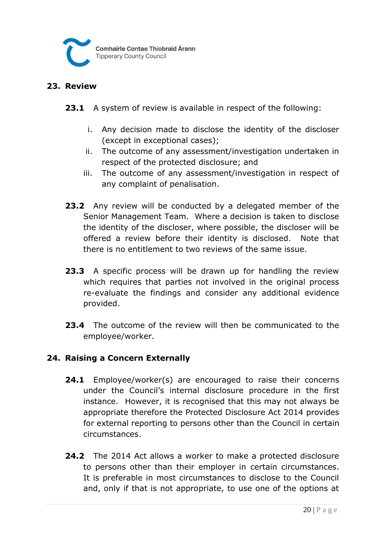

#### **23. Review**

- **23.1** A system of review is available in respect of the following:
	- i. Any decision made to disclose the identity of the discloser (except in exceptional cases);
	- ii. The outcome of any assessment/investigation undertaken in respect of the protected disclosure; and
	- iii. The outcome of any assessment/investigation in respect of any complaint of penalisation.
- **23.2** Any review will be conducted by a delegated member of the Senior Management Team. Where a decision is taken to disclose the identity of the discloser, where possible, the discloser will be offered a review before their identity is disclosed. Note that there is no entitlement to two reviews of the same issue.
- **23.3** A specific process will be drawn up for handling the review which requires that parties not involved in the original process re-evaluate the findings and consider any additional evidence provided.
- **23.4** The outcome of the review will then be communicated to the employee/worker.

#### **24. Raising a Concern Externally**

- 24.1 Employee/worker(s) are encouraged to raise their concerns under the Council's internal disclosure procedure in the first instance. However, it is recognised that this may not always be appropriate therefore the Protected Disclosure Act 2014 provides for external reporting to persons other than the Council in certain circumstances.
- **24.2** The 2014 Act allows a worker to make a protected disclosure to persons other than their employer in certain circumstances. It is preferable in most circumstances to disclose to the Council and, only if that is not appropriate, to use one of the options at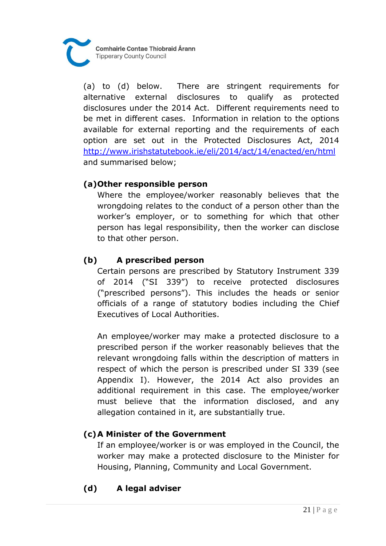

(a) to (d) below. There are stringent requirements for alternative external disclosures to qualify as protected disclosures under the 2014 Act. Different requirements need to be met in different cases. Information in relation to the options available for external reporting and the requirements of each option are set out in the Protected Disclosures Act, 2014 <http://www.irishstatutebook.ie/eli/2014/act/14/enacted/en/html> and summarised below;

# **(a)Other responsible person**

Where the employee/worker reasonably believes that the wrongdoing relates to the conduct of a person other than the worker's employer, or to something for which that other person has legal responsibility, then the worker can disclose to that other person.

# **(b) A prescribed person**

Certain persons are prescribed by Statutory Instrument 339 of 2014 ("SI 339") to receive protected disclosures ("prescribed persons"). This includes the heads or senior officials of a range of statutory bodies including the Chief Executives of Local Authorities.

An employee/worker may make a protected disclosure to a prescribed person if the worker reasonably believes that the relevant wrongdoing falls within the description of matters in respect of which the person is prescribed under SI 339 (see Appendix I). However, the 2014 Act also provides an additional requirement in this case. The employee/worker must believe that the information disclosed, and any allegation contained in it, are substantially true.

# **(c)A Minister of the Government**

If an employee/worker is or was employed in the Council, the worker may make a protected disclosure to the Minister for Housing, Planning, Community and Local Government.

# **(d) A legal adviser**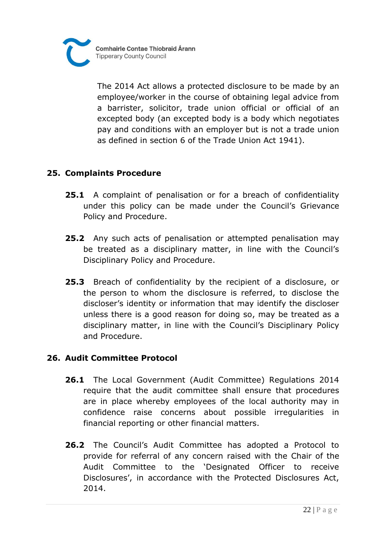

The 2014 Act allows a protected disclosure to be made by an employee/worker in the course of obtaining legal advice from a barrister, solicitor, trade union official or official of an excepted body (an excepted body is a body which negotiates pay and conditions with an employer but is not a trade union as defined in section 6 of the Trade Union Act 1941).

# **25. Complaints Procedure**

- **25.1** A complaint of penalisation or for a breach of confidentiality under this policy can be made under the Council's Grievance Policy and Procedure.
- **25.2** Any such acts of penalisation or attempted penalisation may be treated as a disciplinary matter, in line with the Council's Disciplinary Policy and Procedure.
- **25.3** Breach of confidentiality by the recipient of a disclosure, or the person to whom the disclosure is referred, to disclose the discloser's identity or information that may identify the discloser unless there is a good reason for doing so, may be treated as a disciplinary matter, in line with the Council's Disciplinary Policy and Procedure.

#### **26. Audit Committee Protocol**

- **26.1** The Local Government (Audit Committee) Regulations 2014 require that the audit committee shall ensure that procedures are in place whereby employees of the local authority may in confidence raise concerns about possible irregularities in financial reporting or other financial matters.
- **26.2** The Council's Audit Committee has adopted a Protocol to provide for referral of any concern raised with the Chair of the Audit Committee to the 'Designated Officer to receive Disclosures', in accordance with the Protected Disclosures Act, 2014.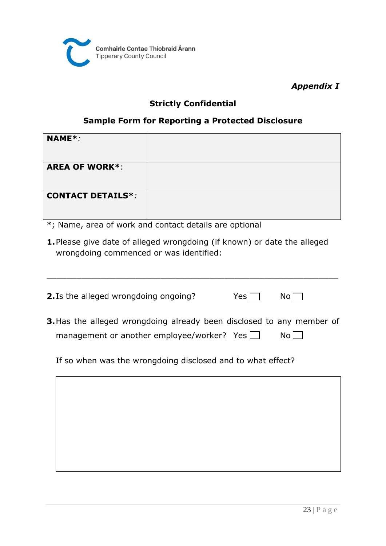

*Appendix I*

# **Strictly Confidential**

# **Sample Form for Reporting a Protected Disclosure**

| NAME*:                   |  |
|--------------------------|--|
| <b>AREA OF WORK*:</b>    |  |
| <b>CONTACT DETAILS*:</b> |  |

- \*; Name, area of work and contact details are optional
- **1.**Please give date of alleged wrongdoing (if known) or date the alleged wrongdoing commenced or was identified:

\_\_\_\_\_\_\_\_\_\_\_\_\_\_\_\_\_\_\_\_\_\_\_\_\_\_\_\_\_\_\_\_\_\_\_\_\_\_\_\_\_\_\_\_\_\_\_\_\_\_\_\_\_\_\_\_\_\_\_

| <b>2.</b> Is the alleged wrongdoing ongoing?                                                                                      | Yes $\Box$ | No   |
|-----------------------------------------------------------------------------------------------------------------------------------|------------|------|
| <b>3.</b> Has the alleged wrongdoing already been disclosed to any member of<br>management or another employee/worker? Yes $\Box$ |            | No l |
| If so when was the wrongdoing disclosed and to what effect?                                                                       |            |      |
|                                                                                                                                   |            |      |
|                                                                                                                                   |            |      |
|                                                                                                                                   |            |      |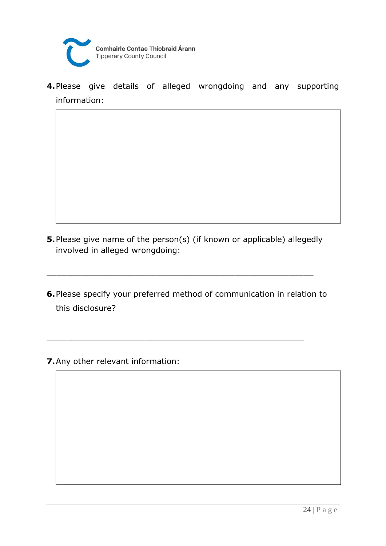

**4.**Please give details of alleged wrongdoing and any supporting information:

**5.** Please give name of the person(s) (if known or applicable) allegedly involved in alleged wrongdoing:

\_\_\_\_\_\_\_\_\_\_\_\_\_\_\_\_\_\_\_\_\_\_\_\_\_\_\_\_\_\_\_\_\_\_\_\_\_\_\_\_\_\_\_\_\_\_\_\_\_\_\_\_\_\_

\_\_\_\_\_\_\_\_\_\_\_\_\_\_\_\_\_\_\_\_\_\_\_\_\_\_\_\_\_\_\_\_\_\_\_\_\_\_\_\_\_\_\_\_\_\_\_\_\_\_\_\_

- **6.**Please specify your preferred method of communication in relation to this disclosure?
- **7.**Any other relevant information: